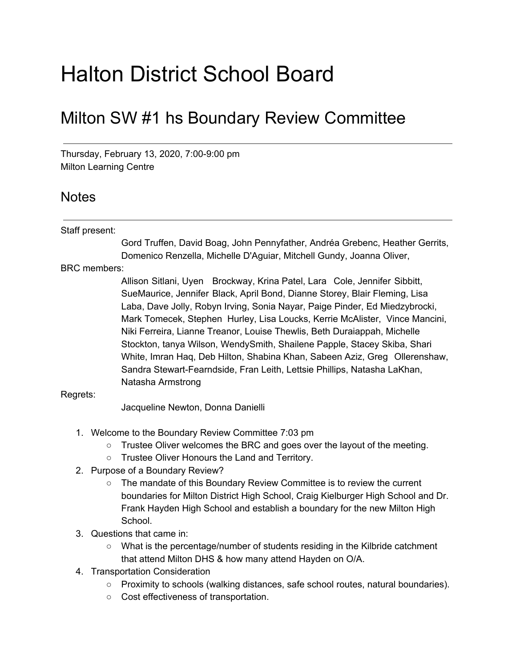# Halton District School Board

# Milton SW #1 hs Boundary Review Committee

Thursday, February 13, 2020, 7:00-9:00 pm Milton Learning Centre

## Notes

### Staff present:

Gord Truffen, David Boag, John Pennyfather, Andréa Grebenc, Heather Gerrits, Domenico Renzella, Michelle D'Aguiar, Mitchell Gundy, Joanna Oliver,

BRC members:

Allison Sitlani, Uyen Brockway, Krina Patel, Lara Cole, Jennifer Sibbitt, SueMaurice, Jennifer Black, April Bond, Dianne Storey, Blair Fleming, Lisa Laba, Dave Jolly, Robyn Irving, Sonia Nayar, Paige Pinder, Ed Miedzybrocki, Mark Tomecek, Stephen Hurley, Lisa Loucks, Kerrie McAlister, Vince Mancini, Niki Ferreira, Lianne Treanor, Louise Thewlis, Beth Duraiappah, Michelle Stockton, tanya Wilson, WendySmith, Shailene Papple, Stacey Skiba, Shari White, Imran Haq, Deb Hilton, Shabina Khan, Sabeen Aziz, Greg Ollerenshaw, Sandra Stewart-Fearndside, Fran Leith, Lettsie Phillips, Natasha LaKhan, Natasha Armstrong

### Regrets:

Jacqueline Newton, Donna Danielli

- 1. Welcome to the Boundary Review Committee 7:03 pm
	- $\circ$  Trustee Oliver welcomes the BRC and goes over the layout of the meeting.
	- Trustee Oliver Honours the Land and Territory.
- 2. Purpose of a Boundary Review?
	- The mandate of this Boundary Review Committee is to review the current boundaries for Milton District High School, Craig Kielburger High School and Dr. Frank Hayden High School and establish a boundary for the new Milton High School.
- 3. Questions that came in:
	- What is the percentage/number of students residing in the Kilbride catchment that attend Milton DHS & how many attend Hayden on O/A.
- 4. Transportation Consideration
	- Proximity to schools (walking distances, safe school routes, natural boundaries).
	- Cost effectiveness of transportation.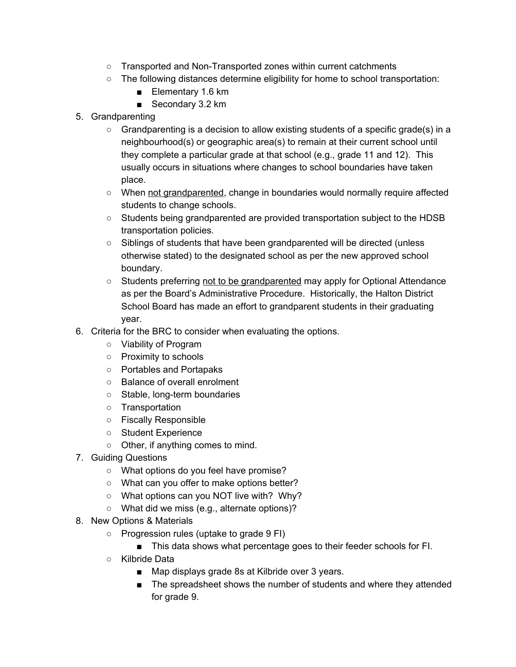- Transported and Non-Transported zones within current catchments
- The following distances determine eligibility for home to school transportation:
	- Elementary 1.6 km
	- Secondary 3.2 km
- 5. Grandparenting
	- Grandparenting is a decision to allow existing students of a specific grade(s) in a neighbourhood(s) or geographic area(s) to remain at their current school until they complete a particular grade at that school (e.g., grade 11 and 12). This usually occurs in situations where changes to school boundaries have taken place.
	- When not grandparented, change in boundaries would normally require affected students to change schools.
	- Students being grandparented are provided transportation subject to the HDSB transportation policies.
	- Siblings of students that have been grandparented will be directed (unless otherwise stated) to the designated school as per the new approved school boundary.
	- Students preferring not to be grandparented may apply for Optional Attendance as per the Board's Administrative Procedure. Historically, the Halton District School Board has made an effort to grandparent students in their graduating year.
- 6. Criteria for the BRC to consider when evaluating the options.
	- Viability of Program
	- Proximity to schools
	- Portables and Portapaks
	- Balance of overall enrolment
	- Stable, long-term boundaries
	- Transportation
	- Fiscally Responsible
	- Student Experience
	- Other, if anything comes to mind.
- 7. Guiding Questions
	- What options do you feel have promise?
	- What can you offer to make options better?
	- What options can you NOT live with? Why?
	- What did we miss (e.g., alternate options)?
- 8. New Options & Materials
	- Progression rules (uptake to grade 9 FI)
		- This data shows what percentage goes to their feeder schools for FI.
	- Kilbride Data
		- Map displays grade 8s at Kilbride over 3 years.
		- The spreadsheet shows the number of students and where they attended for grade 9.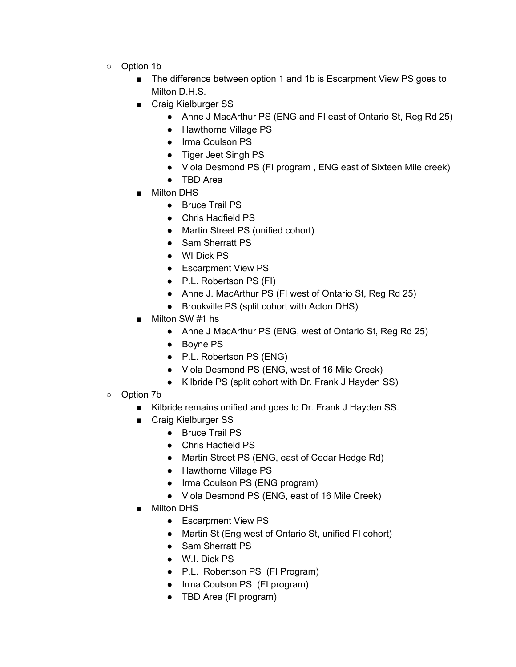- Option 1b
	- The difference between option 1 and 1b is Escarpment View PS goes to Milton D.H.S.
	- Craig Kielburger SS
		- Anne J MacArthur PS (ENG and FI east of Ontario St, Reg Rd 25)
		- Hawthorne Village PS
		- Irma Coulson PS
		- Tiger Jeet Singh PS
		- Viola Desmond PS (FI program , ENG east of Sixteen Mile creek)
		- TBD Area
	- Milton DHS
		- Bruce Trail PS
		- Chris Hadfield PS
		- Martin Street PS (unified cohort)
		- Sam Sherratt PS
		- WI Dick PS
		- Escarpment View PS
		- P.L. Robertson PS (FI)
		- Anne J. MacArthur PS (FI west of Ontario St, Reg Rd 25)
		- Brookville PS (split cohort with Acton DHS)
	- Milton SW #1 hs
		- Anne J MacArthur PS (ENG, west of Ontario St, Reg Rd 25)
		- Boyne PS
		- P.L. Robertson PS (ENG)
		- Viola Desmond PS (ENG, west of 16 Mile Creek)
		- Kilbride PS (split cohort with Dr. Frank J Hayden SS)
- Option 7b
	- Kilbride remains unified and goes to Dr. Frank J Hayden SS.
	- Craig Kielburger SS
		- Bruce Trail PS
		- Chris Hadfield PS
		- Martin Street PS (ENG, east of Cedar Hedge Rd)
		- Hawthorne Village PS
		- Irma Coulson PS (ENG program)
		- Viola Desmond PS (ENG, east of 16 Mile Creek)
	- Milton DHS
		- Escarpment View PS
		- Martin St (Eng west of Ontario St, unified FI cohort)
		- Sam Sherratt PS
		- W.I. Dick PS
		- P.L. Robertson PS (FI Program)
		- Irma Coulson PS (FI program)
		- TBD Area (FI program)